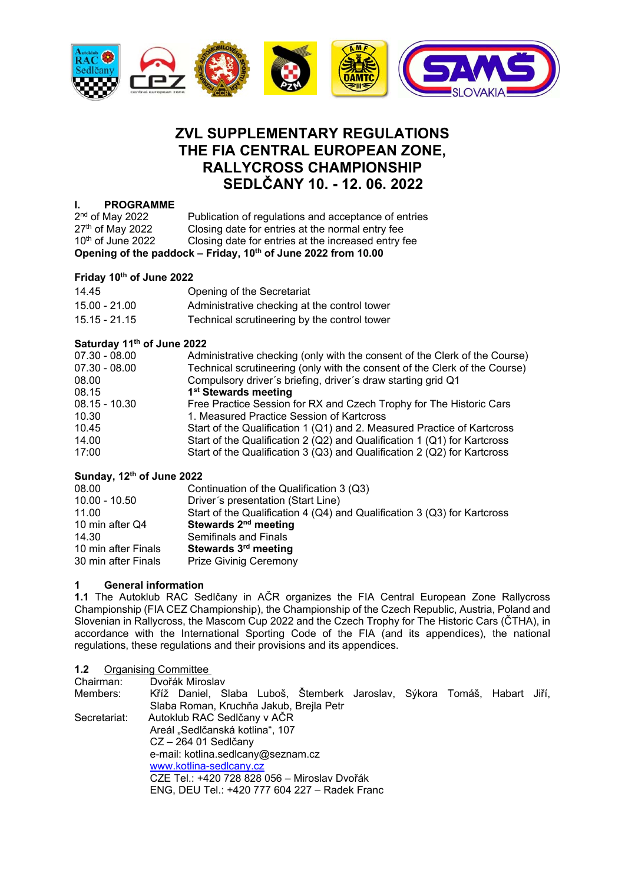

# **ZVL SUPPLEMENTARY REGULATIONS THE FIA CENTRAL EUROPEAN ZONE, RALLYCROSS CHAMPIONSHIP SEDLČANY 10. - 12. 06. 2022**

# **I. PROGRAMME**

| $2nd$ of May 2022                                             | Publication of regulations and acceptance of entries |  |
|---------------------------------------------------------------|------------------------------------------------------|--|
| 27th of May 2022                                              | Closing date for entries at the normal entry fee     |  |
| $10th$ of June 2022                                           | Closing date for entries at the increased entry fee  |  |
| Opening of the paddock - Friday, 10th of June 2022 from 10.00 |                                                      |  |

# **Friday 10th of June 2022**

| Opening of the Secretariat                   |
|----------------------------------------------|
| Administrative checking at the control tower |
| Technical scrutineering by the control tower |
|                                              |

# **Saturday 11th of June 2022**

| $07.30 - 08.00$ | Administrative checking (only with the consent of the Clerk of the Course) |
|-----------------|----------------------------------------------------------------------------|
| $07.30 - 08.00$ | Technical scrutineering (only with the consent of the Clerk of the Course) |
| 08.00           | Compulsory driver's briefing, driver's draw starting grid Q1               |
| 08.15           | 1 <sup>st</sup> Stewards meeting                                           |
| $08.15 - 10.30$ | Free Practice Session for RX and Czech Trophy for The Historic Cars        |
| 10.30           | 1. Measured Practice Session of Kartcross                                  |
| 10.45           | Start of the Qualification 1 (Q1) and 2. Measured Practice of Kartcross    |
| 14.00           | Start of the Qualification 2 (Q2) and Qualification 1 (Q1) for Kartcross   |
| 17:00           | Start of the Qualification 3 (Q3) and Qualification 2 (Q2) for Kartcross   |
|                 |                                                                            |

# **Sunday, 12th of June 2022**

| 08.00               | Continuation of the Qualification 3 (Q3)                                 |
|---------------------|--------------------------------------------------------------------------|
| $10.00 - 10.50$     | Driver's presentation (Start Line)                                       |
| 11.00               | Start of the Qualification 4 (Q4) and Qualification 3 (Q3) for Kartcross |
| 10 min after Q4     | Stewards 2 <sup>nd</sup> meeting                                         |
| 14.30               | Semifinals and Finals                                                    |
| 10 min after Finals | Stewards 3 <sup>rd</sup> meeting                                         |
| 30 min after Finals | <b>Prize Givinig Ceremony</b>                                            |
|                     |                                                                          |

# **1 General information**

**1.1** The Autoklub RAC Sedlčany in AČR organizes the FIA Central European Zone Rallycross Championship (FIA CEZ Championship), the Championship of the Czech Republic, Austria, Poland and Slovenian in Rallycross, the Mascom Cup 2022 and the Czech Trophy for The Historic Cars (ČTHA), in accordance with the International Sporting Code of the FIA (and its appendices), the national regulations, these regulations and their provisions and its appendices.

## **1.2** Organising Committee

| Chairman:    | Dvořák Miroslav                                                         |  |  |  |  |  |  |
|--------------|-------------------------------------------------------------------------|--|--|--|--|--|--|
| Members:     | Kříž Daniel, Slaba Luboš, Štemberk Jaroslav, Sýkora Tomáš, Habart Jiří, |  |  |  |  |  |  |
|              | Slaba Roman, Kruchňa Jakub, Brejla Petr                                 |  |  |  |  |  |  |
| Secretariat: | Autoklub RAC Sedičany v AČR                                             |  |  |  |  |  |  |
|              | Areál "Sedlčanská kotlina", 107                                         |  |  |  |  |  |  |
|              | $CZ - 264$ 01 Sedlčany                                                  |  |  |  |  |  |  |
|              | e-mail: kotlina.sedlcany@seznam.cz                                      |  |  |  |  |  |  |
|              | www.kotlina-sedlcany.cz                                                 |  |  |  |  |  |  |
|              | CZE Tel.: +420 728 828 056 - Miroslav Dvořák                            |  |  |  |  |  |  |
|              | ENG, DEU Tel.: +420 777 604 227 - Radek Franc                           |  |  |  |  |  |  |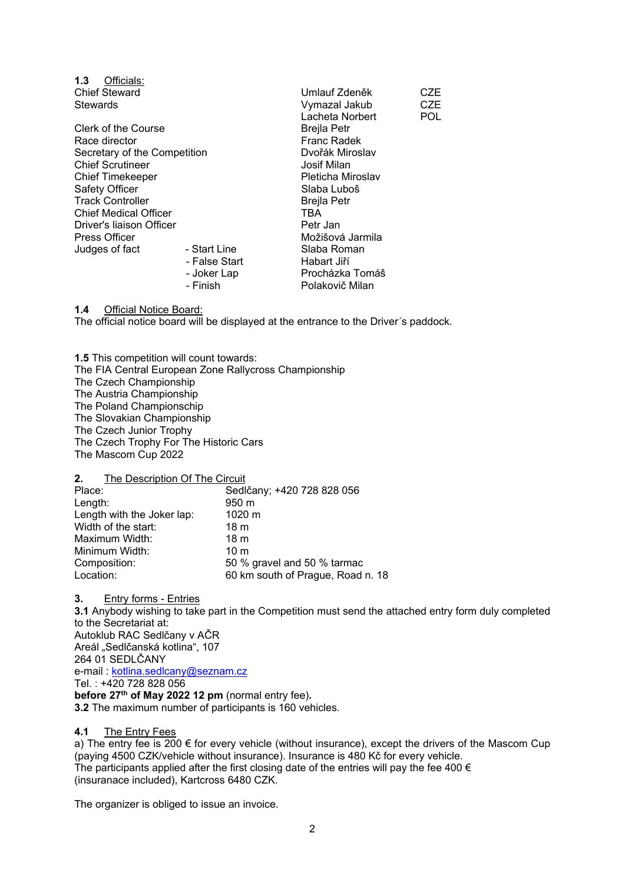| 1.3<br>Officials:            |               |                    |      |
|------------------------------|---------------|--------------------|------|
| <b>Chief Steward</b>         |               | Umlauf Zdeněk      | CZE. |
| Stewards                     |               | Vymazal Jakub      | CZE  |
|                              |               | Lacheta Norbert    | POL. |
| Clerk of the Course          |               | <b>Brejla Petr</b> |      |
| Race director                |               | Franc Radek        |      |
| Secretary of the Competition |               | Dvořák Miroslav    |      |
| <b>Chief Scrutineer</b>      |               | Josif Milan        |      |
| <b>Chief Timekeeper</b>      |               | Pleticha Miroslav  |      |
| Safety Officer               |               | Slaba Luboš        |      |
| <b>Track Controller</b>      |               | Brejla Petr        |      |
| <b>Chief Medical Officer</b> |               | TBA                |      |
| Driver's liaison Officer     |               | Petr Jan           |      |
| <b>Press Officer</b>         |               | Možišová Jarmila   |      |
| Judges of fact               | - Start Line  | Slaba Roman        |      |
|                              | - False Start | Habart Jiří        |      |
|                              | - Joker Lap   | Procházka Tomáš    |      |
|                              | - Finish      | Polakovič Milan    |      |
|                              |               |                    |      |

**1.4** Official Notice Board:

The official notice board will be displayed at the entrance to the Driver*´*s paddock.

**1.5** This competition will count towards: The FIA Central European Zone Rallycross Championship The Czech Championship The Austria Championship The Poland Championschip The Slovakian Championship The Czech Junior Trophy The Czech Trophy For The Historic Cars The Mascom Cup 2022

**2.** The Description Of The Circuit

| Place:                     | Sedlčany; +420 728 828 056        |
|----------------------------|-----------------------------------|
| Length:                    | 950 m                             |
| Length with the Joker lap: | $1020 \text{ m}$                  |
| Width of the start:        | 18 <sub>m</sub>                   |
| Maximum Width:             | 18 <sub>m</sub>                   |
| Minimum Width:             | 10 <sub>m</sub>                   |
| Composition:               | 50 % gravel and 50 % tarmac       |
| Location:                  | 60 km south of Prague, Road n. 18 |

**3.** Entry forms - Entries **3.1** Anybody wishing to take part in the Competition must send the attached entry form duly completed to the Secretariat at: Autoklub RAC Sedlčany v AČR Areál "Sedlčanská kotlina", 107 264 01 SEDLČANY e-mail : kotlina.sedlcany@seznam.cz Tel. : +420 728 828 056 **before 27th of May 2022 12 pm** (normal entry fee)**. 3.2** The maximum number of participants is 160 vehicles.

#### **4.1** The Entry Fees

a) The entry fee is 200  $\epsilon$  for every vehicle (without insurance), except the drivers of the Mascom Cup (paying 4500 CZK/vehicle without insurance). Insurance is 480 Kč for every vehicle. The participants applied after the first closing date of the entries will pay the fee 400  $\epsilon$ (insuranace included), Kartcross 6480 CZK.

The organizer is obliged to issue an invoice.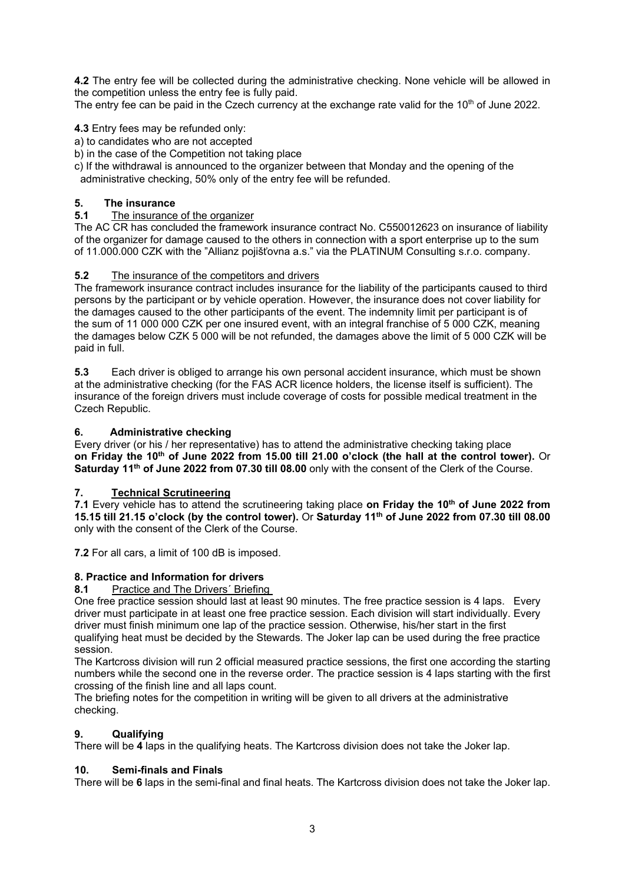**4.2** The entry fee will be collected during the administrative checking. None vehicle will be allowed in the competition unless the entry fee is fully paid.

The entry fee can be paid in the Czech currency at the exchange rate valid for the 10<sup>th</sup> of June 2022.

# **4.3** Entry fees may be refunded only:

a) to candidates who are not accepted

b) in the case of the Competition not taking place

c) If the withdrawal is announced to the organizer between that Monday and the opening of the administrative checking, 50% only of the entry fee will be refunded.

# **5. The insurance**

## **5.1** The insurance of the organizer

The AC CR has concluded the framework insurance contract No. C550012623 on insurance of liability of the organizer for damage caused to the others in connection with a sport enterprise up to the sum of 11.000.000 CZK with the "Allianz pojišťovna a.s." via the PLATINUM Consulting s.r.o. company.

# **5.2** The insurance of the competitors and drivers

The framework insurance contract includes insurance for the liability of the participants caused to third persons by the participant or by vehicle operation. However, the insurance does not cover liability for the damages caused to the other participants of the event. The indemnity limit per participant is of the sum of 11 000 000 CZK per one insured event, with an integral franchise of 5 000 CZK, meaning the damages below CZK 5 000 will be not refunded, the damages above the limit of 5 000 CZK will be paid in full.

**5.3** Each driver is obliged to arrange his own personal accident insurance, which must be shown at the administrative checking (for the FAS ACR licence holders, the license itself is sufficient). The insurance of the foreign drivers must include coverage of costs for possible medical treatment in the Czech Republic.

# **6. Administrative checking**

Every driver (or his / her representative) has to attend the administrative checking taking place **on Friday the 10th of June 2022 from 15.00 till 21.00 o'clock (the hall at the control tower).** Or **Saturday 11th of June 2022 from 07.30 till 08.00** only with the consent of the Clerk of the Course.

## **7. Technical Scrutineering**

**7.1** Every vehicle has to attend the scrutineering taking place **on Friday the 10th of June 2022 from 15.15 till 21.15 o'clock (by the control tower).** Or **Saturday 11th of June 2022 from 07.30 till 08.00** only with the consent of the Clerk of the Course.

**7.2** For all cars, a limit of 100 dB is imposed.

## **8. Practice and Information for drivers**

## **8.1** Practice and The Drivers´ Briefing

One free practice session should last at least 90 minutes. The free practice session is 4 laps. Every driver must participate in at least one free practice session. Each division will start individually. Every driver must finish minimum one lap of the practice session. Otherwise, his/her start in the first qualifying heat must be decided by the Stewards. The Joker lap can be used during the free practice session.

The Kartcross division will run 2 official measured practice sessions, the first one according the starting numbers while the second one in the reverse order. The practice session is 4 laps starting with the first crossing of the finish line and all laps count.

The briefing notes for the competition in writing will be given to all drivers at the administrative checking.

# **9. Qualifying**

There will be **4** laps in the qualifying heats. The Kartcross division does not take the Joker lap.

## **10. Semi-finals and Finals**

There will be **6** laps in the semi-final and final heats. The Kartcross division does not take the Joker lap.